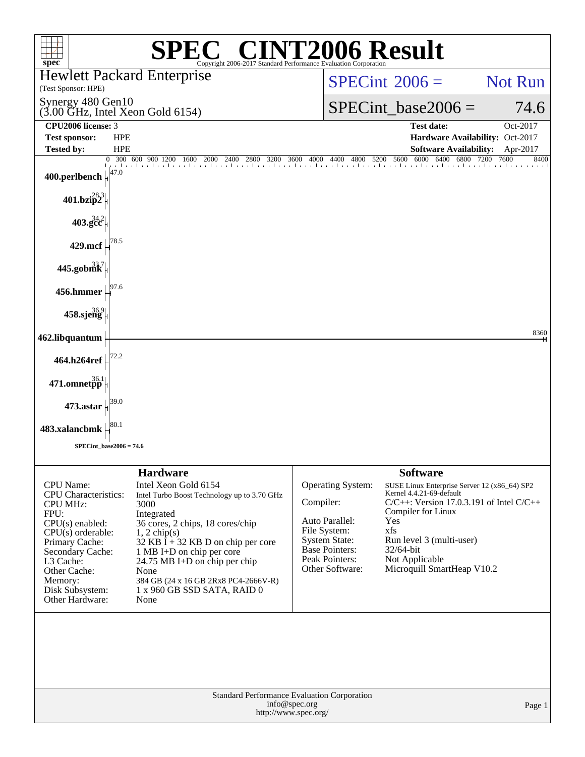| <b>SPEC<sup>®</sup> CINT2006 Result</b><br>$spec^*$<br>Copyright 2006-2017 Standard Performance Evaluation Corporation                                                                                                                                                                                                                                                                                                                                                                                                                                                                                 |                                                                                                                                                                                                                                                                                                                                                                                                                                     |  |  |  |  |  |  |  |  |  |
|--------------------------------------------------------------------------------------------------------------------------------------------------------------------------------------------------------------------------------------------------------------------------------------------------------------------------------------------------------------------------------------------------------------------------------------------------------------------------------------------------------------------------------------------------------------------------------------------------------|-------------------------------------------------------------------------------------------------------------------------------------------------------------------------------------------------------------------------------------------------------------------------------------------------------------------------------------------------------------------------------------------------------------------------------------|--|--|--|--|--|--|--|--|--|
| <b>Hewlett Packard Enterprise</b><br>(Test Sponsor: HPE)                                                                                                                                                                                                                                                                                                                                                                                                                                                                                                                                               | <b>Not Run</b><br>$SPECint^{\otimes}2006=$                                                                                                                                                                                                                                                                                                                                                                                          |  |  |  |  |  |  |  |  |  |
| Synergy 480 Gen10<br>$(3.00$ GHz, Intel Xeon Gold 6154)                                                                                                                                                                                                                                                                                                                                                                                                                                                                                                                                                | $SPECint\_base2006 =$<br>74.6                                                                                                                                                                                                                                                                                                                                                                                                       |  |  |  |  |  |  |  |  |  |
| CPU2006 license: 3                                                                                                                                                                                                                                                                                                                                                                                                                                                                                                                                                                                     | <b>Test date:</b><br>Oct-2017                                                                                                                                                                                                                                                                                                                                                                                                       |  |  |  |  |  |  |  |  |  |
| <b>Test sponsor:</b><br><b>HPE</b>                                                                                                                                                                                                                                                                                                                                                                                                                                                                                                                                                                     | Hardware Availability: Oct-2017                                                                                                                                                                                                                                                                                                                                                                                                     |  |  |  |  |  |  |  |  |  |
| <b>Tested by:</b><br><b>HPE</b><br>300 600 900 1200 1600 2000 2400 2800 3200                                                                                                                                                                                                                                                                                                                                                                                                                                                                                                                           | <b>Software Availability:</b><br>Apr-2017<br>5600<br>6000<br>6400<br>6800<br>7200<br>7600<br>3600 4000<br>8400<br>4400<br>4800<br>5200                                                                                                                                                                                                                                                                                              |  |  |  |  |  |  |  |  |  |
| 47.0<br>400.perlbench                                                                                                                                                                                                                                                                                                                                                                                                                                                                                                                                                                                  |                                                                                                                                                                                                                                                                                                                                                                                                                                     |  |  |  |  |  |  |  |  |  |
| $401.bzi\overline{p}2^8$                                                                                                                                                                                                                                                                                                                                                                                                                                                                                                                                                                               |                                                                                                                                                                                                                                                                                                                                                                                                                                     |  |  |  |  |  |  |  |  |  |
| $403.\mathrm{gcc}^{34.2}$                                                                                                                                                                                                                                                                                                                                                                                                                                                                                                                                                                              |                                                                                                                                                                                                                                                                                                                                                                                                                                     |  |  |  |  |  |  |  |  |  |
| 429.mcf                                                                                                                                                                                                                                                                                                                                                                                                                                                                                                                                                                                                |                                                                                                                                                                                                                                                                                                                                                                                                                                     |  |  |  |  |  |  |  |  |  |
| $445.$ gobm $k^7$                                                                                                                                                                                                                                                                                                                                                                                                                                                                                                                                                                                      |                                                                                                                                                                                                                                                                                                                                                                                                                                     |  |  |  |  |  |  |  |  |  |
| )7.6<br>$456.$ hmmer                                                                                                                                                                                                                                                                                                                                                                                                                                                                                                                                                                                   |                                                                                                                                                                                                                                                                                                                                                                                                                                     |  |  |  |  |  |  |  |  |  |
| 458.sjeng                                                                                                                                                                                                                                                                                                                                                                                                                                                                                                                                                                                              |                                                                                                                                                                                                                                                                                                                                                                                                                                     |  |  |  |  |  |  |  |  |  |
| 462.libquantum                                                                                                                                                                                                                                                                                                                                                                                                                                                                                                                                                                                         | 8360                                                                                                                                                                                                                                                                                                                                                                                                                                |  |  |  |  |  |  |  |  |  |
| 464.h264ref                                                                                                                                                                                                                                                                                                                                                                                                                                                                                                                                                                                            |                                                                                                                                                                                                                                                                                                                                                                                                                                     |  |  |  |  |  |  |  |  |  |
| $471.$ omnet $\rm\ddot{p}\dot{p}^{36.1}$                                                                                                                                                                                                                                                                                                                                                                                                                                                                                                                                                               |                                                                                                                                                                                                                                                                                                                                                                                                                                     |  |  |  |  |  |  |  |  |  |
| 473.astar                                                                                                                                                                                                                                                                                                                                                                                                                                                                                                                                                                                              |                                                                                                                                                                                                                                                                                                                                                                                                                                     |  |  |  |  |  |  |  |  |  |
| 80.1<br>483.xalancbmk                                                                                                                                                                                                                                                                                                                                                                                                                                                                                                                                                                                  |                                                                                                                                                                                                                                                                                                                                                                                                                                     |  |  |  |  |  |  |  |  |  |
| $SPECint\_base2006 = 74.6$                                                                                                                                                                                                                                                                                                                                                                                                                                                                                                                                                                             |                                                                                                                                                                                                                                                                                                                                                                                                                                     |  |  |  |  |  |  |  |  |  |
|                                                                                                                                                                                                                                                                                                                                                                                                                                                                                                                                                                                                        |                                                                                                                                                                                                                                                                                                                                                                                                                                     |  |  |  |  |  |  |  |  |  |
| <b>Hardware</b><br>CPU Name:<br>Intel Xeon Gold 6154<br><b>CPU</b> Characteristics:<br>Intel Turbo Boost Technology up to 3.70 GHz<br><b>CPU MHz:</b><br>3000<br>FPU:<br>Integrated<br>$CPU(s)$ enabled:<br>36 cores, 2 chips, 18 cores/chip<br>$CPU(s)$ orderable:<br>$1, 2$ chip(s)<br>Primary Cache:<br>$32$ KB I + 32 KB D on chip per core<br>Secondary Cache:<br>1 MB I+D on chip per core<br>L3 Cache:<br>24.75 MB I+D on chip per chip<br>None<br>Other Cache:<br>Memory:<br>384 GB (24 x 16 GB 2Rx8 PC4-2666V-R)<br>Disk Subsystem:<br>1 x 960 GB SSD SATA, RAID 0<br>Other Hardware:<br>None | <b>Software</b><br>Operating System:<br>SUSE Linux Enterprise Server 12 (x86_64) SP2<br>Kernel 4.4.21-69-default<br>Compiler:<br>$C/C++$ : Version 17.0.3.191 of Intel $C/C++$<br>Compiler for Linux<br>Auto Parallel:<br>Yes<br>File System:<br>xfs<br><b>System State:</b><br>Run level 3 (multi-user)<br><b>Base Pointers:</b><br>32/64-bit<br>Peak Pointers:<br>Not Applicable<br>Other Software:<br>Microquill SmartHeap V10.2 |  |  |  |  |  |  |  |  |  |
|                                                                                                                                                                                                                                                                                                                                                                                                                                                                                                                                                                                                        | Standard Performance Evaluation Corporation<br>info@spec.org<br>Page 1<br>http://www.spec.org/                                                                                                                                                                                                                                                                                                                                      |  |  |  |  |  |  |  |  |  |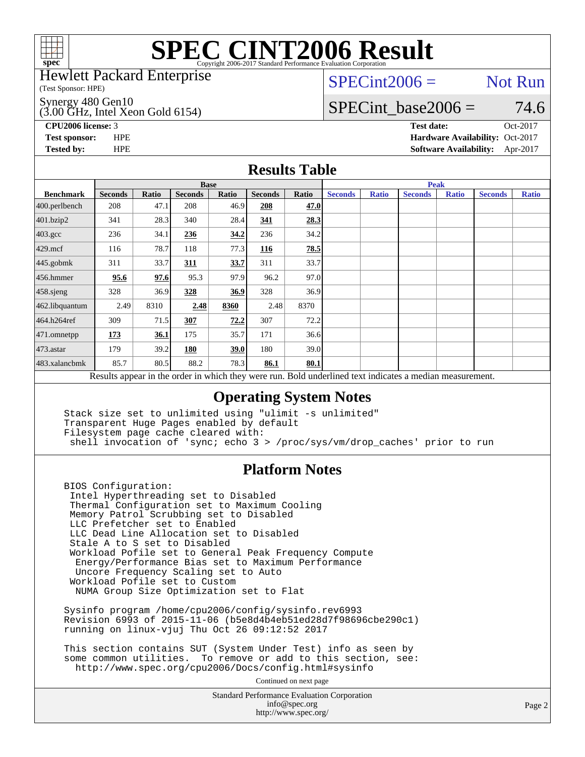

Hewlett Packard Enterprise

(Test Sponsor: HPE)

(3.00 GHz, Intel Xeon Gold 6154) Synergy 480 Gen10

 $SPECint2006 =$  Not Run

# SPECint base2006 =  $74.6$

**[CPU2006 license:](http://www.spec.org/auto/cpu2006/Docs/result-fields.html#CPU2006license)** 3 **[Test date:](http://www.spec.org/auto/cpu2006/Docs/result-fields.html#Testdate)** Oct-2017 **[Test sponsor:](http://www.spec.org/auto/cpu2006/Docs/result-fields.html#Testsponsor)** HPE **[Hardware Availability:](http://www.spec.org/auto/cpu2006/Docs/result-fields.html#HardwareAvailability)** Oct-2017 **[Tested by:](http://www.spec.org/auto/cpu2006/Docs/result-fields.html#Testedby)** HPE **[Software Availability:](http://www.spec.org/auto/cpu2006/Docs/result-fields.html#SoftwareAvailability)** Apr-2017

### **[Results Table](http://www.spec.org/auto/cpu2006/Docs/result-fields.html#ResultsTable)**

|                                                                                                          | <b>Base</b>    |              |                |       |                |       |                | <b>Peak</b>  |                |              |                |              |  |  |
|----------------------------------------------------------------------------------------------------------|----------------|--------------|----------------|-------|----------------|-------|----------------|--------------|----------------|--------------|----------------|--------------|--|--|
| <b>Benchmark</b>                                                                                         | <b>Seconds</b> | <b>Ratio</b> | <b>Seconds</b> | Ratio | <b>Seconds</b> | Ratio | <b>Seconds</b> | <b>Ratio</b> | <b>Seconds</b> | <b>Ratio</b> | <b>Seconds</b> | <b>Ratio</b> |  |  |
| $400.$ perlbench                                                                                         | 208            | 47.1         | 208            | 46.9  | 208            | 47.0  |                |              |                |              |                |              |  |  |
| 401.bzip2                                                                                                | 341            | 28.3         | 340            | 28.4  | 341            | 28.3  |                |              |                |              |                |              |  |  |
| $403.\mathrm{gcc}$                                                                                       | 236            | 34.1         | 236            | 34.2  | 236            | 34.2  |                |              |                |              |                |              |  |  |
| $429$ .mcf                                                                                               | 116            | 78.7         | 118            | 77.3  | 116            | 78.5  |                |              |                |              |                |              |  |  |
| $445$ .gobmk                                                                                             | 311            | 33.7         | 311            | 33.7  | 311            | 33.7  |                |              |                |              |                |              |  |  |
| $456.$ hmmer                                                                                             | 95.6           | 97.6         | 95.3           | 97.9  | 96.2           | 97.0  |                |              |                |              |                |              |  |  |
| $458$ .sjeng                                                                                             | 328            | 36.9         | 328            | 36.9  | 328            | 36.9  |                |              |                |              |                |              |  |  |
| 462.libquantum                                                                                           | 2.49           | 8310         | 2.48           | 8360  | 2.48           | 8370  |                |              |                |              |                |              |  |  |
| 464.h264ref                                                                                              | 309            | 71.5         | 307            | 72.2  | 307            | 72.2  |                |              |                |              |                |              |  |  |
| 471.omnetpp                                                                                              | 173            | 36.1         | 175            | 35.7  | 171            | 36.6  |                |              |                |              |                |              |  |  |
| $473$ . astar                                                                                            | 179            | 39.2         | 180            | 39.0  | 180            | 39.0  |                |              |                |              |                |              |  |  |
| 483.xalancbmk                                                                                            | 85.7           | 80.5         | 88.2           | 78.3  | 86.1           | 80.1  |                |              |                |              |                |              |  |  |
| Results appear in the order in which they were run. Bold underlined text indicates a median measurement. |                |              |                |       |                |       |                |              |                |              |                |              |  |  |

### **[Operating System Notes](http://www.spec.org/auto/cpu2006/Docs/result-fields.html#OperatingSystemNotes)**

 Stack size set to unlimited using "ulimit -s unlimited" Transparent Huge Pages enabled by default Filesystem page cache cleared with: shell invocation of 'sync; echo 3 > /proc/sys/vm/drop\_caches' prior to run

### **[Platform Notes](http://www.spec.org/auto/cpu2006/Docs/result-fields.html#PlatformNotes)**

 BIOS Configuration: Intel Hyperthreading set to Disabled Thermal Configuration set to Maximum Cooling Memory Patrol Scrubbing set to Disabled LLC Prefetcher set to Enabled LLC Dead Line Allocation set to Disabled Stale A to S set to Disabled Workload Pofile set to General Peak Frequency Compute Energy/Performance Bias set to Maximum Performance Uncore Frequency Scaling set to Auto Workload Pofile set to Custom NUMA Group Size Optimization set to Flat

 Sysinfo program /home/cpu2006/config/sysinfo.rev6993 Revision 6993 of 2015-11-06 (b5e8d4b4eb51ed28d7f98696cbe290c1) running on linux-vjuj Thu Oct 26 09:12:52 2017

 This section contains SUT (System Under Test) info as seen by some common utilities. To remove or add to this section, see: <http://www.spec.org/cpu2006/Docs/config.html#sysinfo>

Continued on next page

Standard Performance Evaluation Corporation [info@spec.org](mailto:info@spec.org) <http://www.spec.org/>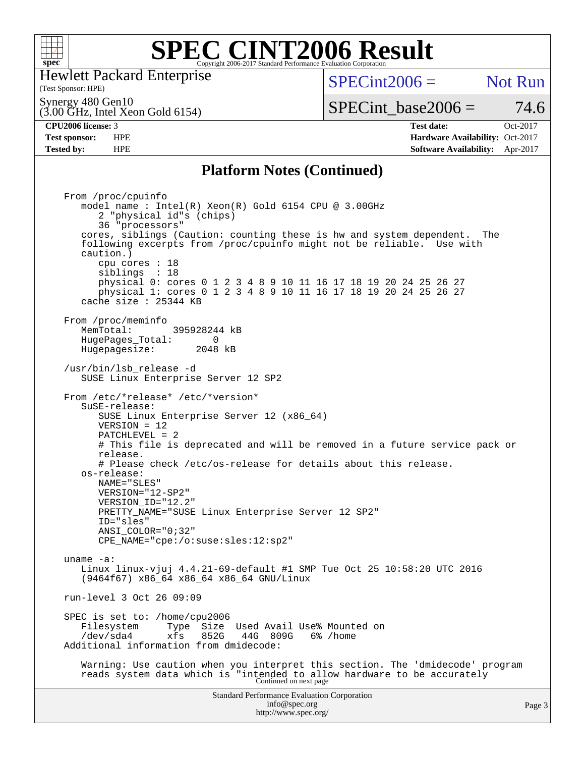

Hewlett Packard Enterprise

(Test Sponsor: HPE)

 $SPECint2006 =$  Not Run

(3.00 GHz, Intel Xeon Gold 6154) Synergy 480 Gen10

# SPECint base2006 =  $74.6$

**[CPU2006 license:](http://www.spec.org/auto/cpu2006/Docs/result-fields.html#CPU2006license)** 3 **[Test date:](http://www.spec.org/auto/cpu2006/Docs/result-fields.html#Testdate)** Oct-2017 **[Test sponsor:](http://www.spec.org/auto/cpu2006/Docs/result-fields.html#Testsponsor)** HPE **[Hardware Availability:](http://www.spec.org/auto/cpu2006/Docs/result-fields.html#HardwareAvailability)** Oct-2017 **[Tested by:](http://www.spec.org/auto/cpu2006/Docs/result-fields.html#Testedby)** HPE **[Software Availability:](http://www.spec.org/auto/cpu2006/Docs/result-fields.html#SoftwareAvailability)** Apr-2017

### **[Platform Notes \(Continued\)](http://www.spec.org/auto/cpu2006/Docs/result-fields.html#PlatformNotes)**

Standard Performance Evaluation Corporation [info@spec.org](mailto:info@spec.org) <http://www.spec.org/> From /proc/cpuinfo model name : Intel(R) Xeon(R) Gold 6154 CPU @ 3.00GHz 2 "physical id"s (chips) 36 "processors" cores, siblings (Caution: counting these is hw and system dependent. The following excerpts from /proc/cpuinfo might not be reliable. Use with caution.) cpu cores : 18 siblings : 18 physical 0: cores 0 1 2 3 4 8 9 10 11 16 17 18 19 20 24 25 26 27 physical 1: cores 0 1 2 3 4 8 9 10 11 16 17 18 19 20 24 25 26 27 cache size : 25344 KB From /proc/meminfo MemTotal: 395928244 kB<br>HugePages Total: 0 HugePages\_Total: 0 Hugepagesize: 2048 kB /usr/bin/lsb\_release -d SUSE Linux Enterprise Server 12 SP2 From /etc/\*release\* /etc/\*version\* SuSE-release: SUSE Linux Enterprise Server 12 (x86\_64) VERSION = 12 PATCHLEVEL = 2 # This file is deprecated and will be removed in a future service pack or release. # Please check /etc/os-release for details about this release. os-release: NAME="SLES" VERSION="12-SP2" VERSION\_ID="12.2" PRETTY\_NAME="SUSE Linux Enterprise Server 12 SP2" ID="sles" ANSI\_COLOR="0;32" CPE\_NAME="cpe:/o:suse:sles:12:sp2" uname -a: Linux linux-vjuj 4.4.21-69-default #1 SMP Tue Oct 25 10:58:20 UTC 2016 (9464f67) x86\_64 x86\_64 x86\_64 GNU/Linux run-level 3 Oct 26 09:09 SPEC is set to: /home/cpu2006<br>Filesystem Type Size Type Size Used Avail Use% Mounted on<br>xfs 852G 44G 809G 6% /home /dev/sda4 xfs 852G 44G 809G 6% /home Additional information from dmidecode: Warning: Use caution when you interpret this section. The 'dmidecode' program reads system data which is "intended to allow hardware to be accurately Continued on next page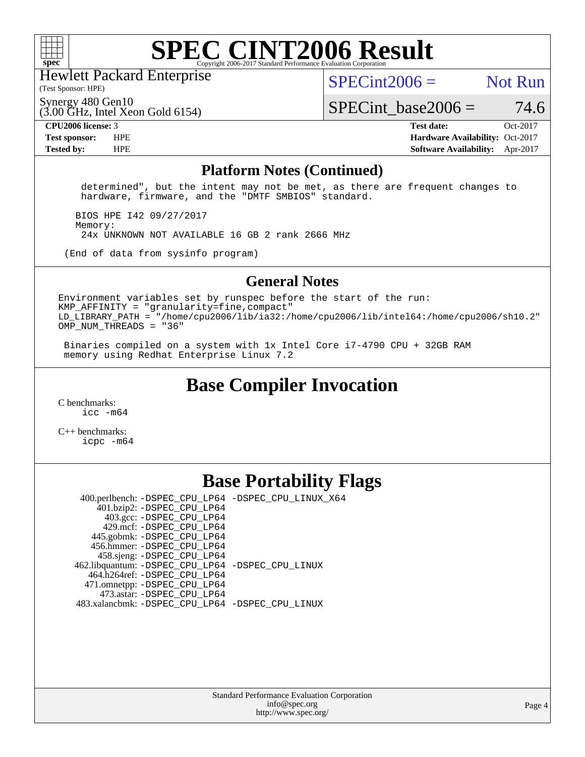

Hewlett Packard Enterprise

(Test Sponsor: HPE)

 $SPECint2006 =$  Not Run

(3.00 GHz, Intel Xeon Gold 6154) Synergy 480 Gen10

SPECint base2006 =  $74.6$ **[CPU2006 license:](http://www.spec.org/auto/cpu2006/Docs/result-fields.html#CPU2006license)** 3 **[Test date:](http://www.spec.org/auto/cpu2006/Docs/result-fields.html#Testdate)** Oct-2017

**[Test sponsor:](http://www.spec.org/auto/cpu2006/Docs/result-fields.html#Testsponsor)** HPE **[Hardware Availability:](http://www.spec.org/auto/cpu2006/Docs/result-fields.html#HardwareAvailability)** Oct-2017 **[Tested by:](http://www.spec.org/auto/cpu2006/Docs/result-fields.html#Testedby)** HPE **[Software Availability:](http://www.spec.org/auto/cpu2006/Docs/result-fields.html#SoftwareAvailability)** Apr-2017

#### **[Platform Notes \(Continued\)](http://www.spec.org/auto/cpu2006/Docs/result-fields.html#PlatformNotes)**

 determined", but the intent may not be met, as there are frequent changes to hardware, firmware, and the "DMTF SMBIOS" standard.

 BIOS HPE I42 09/27/2017 Memory: 24x UNKNOWN NOT AVAILABLE 16 GB 2 rank 2666 MHz

(End of data from sysinfo program)

#### **[General Notes](http://www.spec.org/auto/cpu2006/Docs/result-fields.html#GeneralNotes)**

Environment variables set by runspec before the start of the run:  $KMP$  AFFINITY = "granularity=fine, compact" LD\_LIBRARY\_PATH = "/home/cpu2006/lib/ia32:/home/cpu2006/lib/intel64:/home/cpu2006/sh10.2" OMP\_NUM\_THREADS = "36"

 Binaries compiled on a system with 1x Intel Core i7-4790 CPU + 32GB RAM memory using Redhat Enterprise Linux 7.2

### **[Base Compiler Invocation](http://www.spec.org/auto/cpu2006/Docs/result-fields.html#BaseCompilerInvocation)**

[C benchmarks](http://www.spec.org/auto/cpu2006/Docs/result-fields.html#Cbenchmarks): [icc -m64](http://www.spec.org/cpu2006/results/res2017q4/cpu2006-20171031-50449.flags.html#user_CCbase_intel_icc_64bit_bda6cc9af1fdbb0edc3795bac97ada53)

[C++ benchmarks:](http://www.spec.org/auto/cpu2006/Docs/result-fields.html#CXXbenchmarks) [icpc -m64](http://www.spec.org/cpu2006/results/res2017q4/cpu2006-20171031-50449.flags.html#user_CXXbase_intel_icpc_64bit_fc66a5337ce925472a5c54ad6a0de310)

### **[Base Portability Flags](http://www.spec.org/auto/cpu2006/Docs/result-fields.html#BasePortabilityFlags)**

 400.perlbench: [-DSPEC\\_CPU\\_LP64](http://www.spec.org/cpu2006/results/res2017q4/cpu2006-20171031-50449.flags.html#b400.perlbench_basePORTABILITY_DSPEC_CPU_LP64) [-DSPEC\\_CPU\\_LINUX\\_X64](http://www.spec.org/cpu2006/results/res2017q4/cpu2006-20171031-50449.flags.html#b400.perlbench_baseCPORTABILITY_DSPEC_CPU_LINUX_X64) 401.bzip2: [-DSPEC\\_CPU\\_LP64](http://www.spec.org/cpu2006/results/res2017q4/cpu2006-20171031-50449.flags.html#suite_basePORTABILITY401_bzip2_DSPEC_CPU_LP64) 403.gcc: [-DSPEC\\_CPU\\_LP64](http://www.spec.org/cpu2006/results/res2017q4/cpu2006-20171031-50449.flags.html#suite_basePORTABILITY403_gcc_DSPEC_CPU_LP64) 429.mcf: [-DSPEC\\_CPU\\_LP64](http://www.spec.org/cpu2006/results/res2017q4/cpu2006-20171031-50449.flags.html#suite_basePORTABILITY429_mcf_DSPEC_CPU_LP64) 445.gobmk: [-DSPEC\\_CPU\\_LP64](http://www.spec.org/cpu2006/results/res2017q4/cpu2006-20171031-50449.flags.html#suite_basePORTABILITY445_gobmk_DSPEC_CPU_LP64) 456.hmmer: [-DSPEC\\_CPU\\_LP64](http://www.spec.org/cpu2006/results/res2017q4/cpu2006-20171031-50449.flags.html#suite_basePORTABILITY456_hmmer_DSPEC_CPU_LP64) 458.sjeng: [-DSPEC\\_CPU\\_LP64](http://www.spec.org/cpu2006/results/res2017q4/cpu2006-20171031-50449.flags.html#suite_basePORTABILITY458_sjeng_DSPEC_CPU_LP64) 462.libquantum: [-DSPEC\\_CPU\\_LP64](http://www.spec.org/cpu2006/results/res2017q4/cpu2006-20171031-50449.flags.html#suite_basePORTABILITY462_libquantum_DSPEC_CPU_LP64) [-DSPEC\\_CPU\\_LINUX](http://www.spec.org/cpu2006/results/res2017q4/cpu2006-20171031-50449.flags.html#b462.libquantum_baseCPORTABILITY_DSPEC_CPU_LINUX) 464.h264ref: [-DSPEC\\_CPU\\_LP64](http://www.spec.org/cpu2006/results/res2017q4/cpu2006-20171031-50449.flags.html#suite_basePORTABILITY464_h264ref_DSPEC_CPU_LP64) 471.omnetpp: [-DSPEC\\_CPU\\_LP64](http://www.spec.org/cpu2006/results/res2017q4/cpu2006-20171031-50449.flags.html#suite_basePORTABILITY471_omnetpp_DSPEC_CPU_LP64) 473.astar: [-DSPEC\\_CPU\\_LP64](http://www.spec.org/cpu2006/results/res2017q4/cpu2006-20171031-50449.flags.html#suite_basePORTABILITY473_astar_DSPEC_CPU_LP64) 483.xalancbmk: [-DSPEC\\_CPU\\_LP64](http://www.spec.org/cpu2006/results/res2017q4/cpu2006-20171031-50449.flags.html#suite_basePORTABILITY483_xalancbmk_DSPEC_CPU_LP64) [-DSPEC\\_CPU\\_LINUX](http://www.spec.org/cpu2006/results/res2017q4/cpu2006-20171031-50449.flags.html#b483.xalancbmk_baseCXXPORTABILITY_DSPEC_CPU_LINUX)